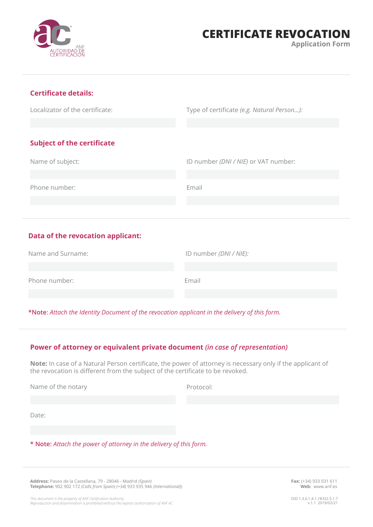# **CERTIFICATE REVOCATION**

**Application Form** 

## **Certificate details:**

Localizator of the certificate:

Type of certificate *(e.g. Natural Person…):*

## **Subject of the certificate**

Name of subject: Phone number: ID number *(DNI / NIE)* or VAT number: Email

## **Data of the revocation applicant:**

| Name and Surname: | ID number (DNI / NIE): |
|-------------------|------------------------|
|                   |                        |
| Phone number:     | Email                  |
|                   |                        |

**\*Note**: *Attach the Identity Document of the revocation applicant in the delivery of this form.*

#### **Power of attorney or equivalent private document** *(in case of representation)*

**Note:** In case of a Natural Person certificate, the power of attorney is necessary only if the applicant of the revocation is different from the subject of the certificate to be revoked.

Name of the notary

Protocol:

Date:

**\* Note:** *Attach the power of attorney in the delivery of this form.*

**Address:** Paseo de la Castellana, 79 - 28046 - Madrid *(Spain)* **Telephone:** 902 902 172 *(Calls from Spain) (+34)* 933 935 946 *(International))* **Fax:** (+34) 933 031 611 **Web:** www.anf.es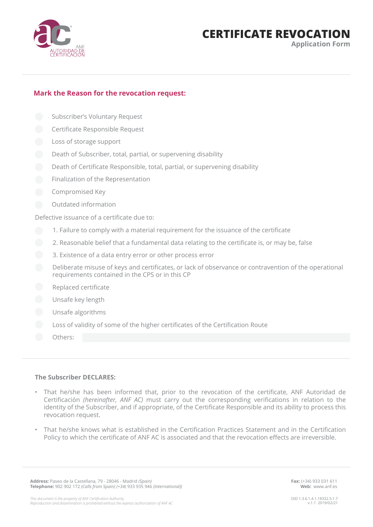

# **CERTIFICATE REVOCATION**

**Application Form** 

### **Mark the Reason for the revocation request:**

- Subscriber's Voluntary Request
- Certificate Responsible Request
- Loss of storage support
- Death of Subscriber, total, partial, or supervening disability
- Death of Certificate Responsible, total, partial, or supervening disability
- Finalization of the Representation
- Compromised Key
- Outdated information

Defective issuance of a certificate due to:

- 1. Failure to comply with a material requirement for the issuance of the certificate
- 2. Reasonable belief that a fundamental data relating to the certificate is, or may be, false
- 3. Existence of a data entry error or other process error
- Deliberate misuse of keys and certificates, or lack of observance or contravention of the operational requirements contained in the CPS or in this CP
- Replaced certificate
- Unsafe key length
- Unsafe algorithms
- Loss of validity of some of the higher certificates of the Certification Route
- Others:

#### **The Subscriber DECLARES:**

- That he/she has been informed that, prior to the revocation of the certificate, ANF Autoridad de Certificación *(hereinafter, ANF AC)* must carry out the corresponding verifications in relation to the identity of the Subscriber, and if appropriate, of the Certificate Responsible and its ability to process this revocation request.
- That he/she knows what is established in the Certification Practices Statement and in the Certification Policy to which the certificate of ANF AC is associated and that the revocation effects are irreversible.